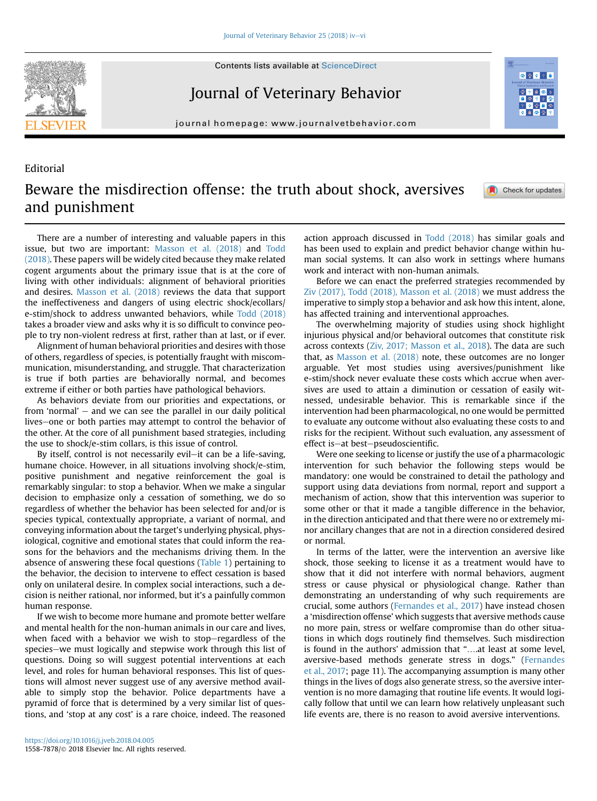Editorial

**Contents lists available at ScienceDirect** 

## Journal of Veterinary Behavior

journal homepage: [www.journalvetbehavior.com](http://www.journalvetbehavior.com)



## Beware the misdirection offense: the truth about shock, aversives and punishment

Check for updates

There are a number of interesting and valuable papers in this issue, but two are important: [Masson et al. \(2018\)](#page-2-0) and [Todd](#page-2-0) [\(2018\)](#page-2-0). These papers will be widely cited because they make related cogent arguments about the primary issue that is at the core of living with other individuals: alignment of behavioral priorities and desires. [Masson et al. \(2018\)](#page-2-0) reviews the data that support the ineffectiveness and dangers of using electric shock/ecollars/ e-stim/shock to address unwanted behaviors, while [Todd \(2018\)](#page-2-0) takes a broader view and asks why it is so difficult to convince people to try non-violent redress at first, rather than at last, or if ever.

Alignment of human behavioral priorities and desires with those of others, regardless of species, is potentially fraught with miscommunication, misunderstanding, and struggle. That characterization is true if both parties are behaviorally normal, and becomes extreme if either or both parties have pathological behaviors.

As behaviors deviate from our priorities and expectations, or from 'normal'  $-$  and we can see the parallel in our daily political lives-one or both parties may attempt to control the behavior of the other. At the core of all punishment based strategies, including the use to shock/e-stim collars, is this issue of control.

By itself, control is not necessarily evil–it can be a life-saving, humane choice. However, in all situations involving shock/e-stim, positive punishment and negative reinforcement the goal is remarkably singular: to stop a behavior. When we make a singular decision to emphasize only a cessation of something, we do so regardless of whether the behavior has been selected for and/or is species typical, contextually appropriate, a variant of normal, and conveying information about the target's underlying physical, physiological, cognitive and emotional states that could inform the reasons for the behaviors and the mechanisms driving them. In the absence of answering these focal questions ([Table 1\)](#page-1-0) pertaining to the behavior, the decision to intervene to effect cessation is based only on unilateral desire. In complex social interactions, such a decision is neither rational, nor informed, but it's a painfully common human response.

If we wish to become more humane and promote better welfare and mental health for the non-human animals in our care and lives, when faced with a behavior we wish to stop-regardless of the species-we must logically and stepwise work through this list of questions. Doing so will suggest potential interventions at each level, and roles for human behavioral responses. This list of questions will almost never suggest use of any aversive method available to simply stop the behavior. Police departments have a pyramid of force that is determined by a very similar list of questions, and 'stop at any cost' is a rare choice, indeed. The reasoned

action approach discussed in [Todd \(2018\)](#page-2-0) has similar goals and has been used to explain and predict behavior change within human social systems. It can also work in settings where humans work and interact with non-human animals.

Before we can enact the preferred strategies recommended by [Ziv \(2017\), Todd \(2018\), Masson et al. \(2018\)](#page-2-0) we must address the imperative to simply stop a behavior and ask how this intent, alone, has affected training and interventional approaches.

The overwhelming majority of studies using shock highlight injurious physical and/or behavioral outcomes that constitute risk across contexts [\(Ziv, 2017; Masson et al., 2018\)](#page-2-0). The data are such that, as Masson et al.  $(2018)$  note, these outcomes are no longer arguable. Yet most studies using aversives/punishment like e-stim/shock never evaluate these costs which accrue when aversives are used to attain a diminution or cessation of easily witnessed, undesirable behavior. This is remarkable since if the intervention had been pharmacological, no one would be permitted to evaluate any outcome without also evaluating these costs to and risks for the recipient. Without such evaluation, any assessment of effect is-at best-pseudoscientific.

Were one seeking to license or justify the use of a pharmacologic intervention for such behavior the following steps would be mandatory: one would be constrained to detail the pathology and support using data deviations from normal, report and support a mechanism of action, show that this intervention was superior to some other or that it made a tangible difference in the behavior, in the direction anticipated and that there were no or extremely minor ancillary changes that are not in a direction considered desired or normal.

In terms of the latter, were the intervention an aversive like shock, those seeking to license it as a treatment would have to show that it did not interfere with normal behaviors, augment stress or cause physical or physiological change. Rather than demonstrating an understanding of why such requirements are crucial, some authors [\(Fernandes et al., 2017\)](#page-2-0) have instead chosen a 'misdirection offense' which suggests that aversive methods cause no more pain, stress or welfare compromise than do other situations in which dogs routinely find themselves. Such misdirection is found in the authors' admission that "....at least at some level, aversive-based methods generate stress in dogs." [\(Fernandes](#page-2-0) [et al., 2017;](#page-2-0) page 11). The accompanying assumption is many other things in the lives of dogs also generate stress, so the aversive intervention is no more damaging that routine life events. It would logically follow that until we can learn how relatively unpleasant such life events are, there is no reason to avoid aversive interventions.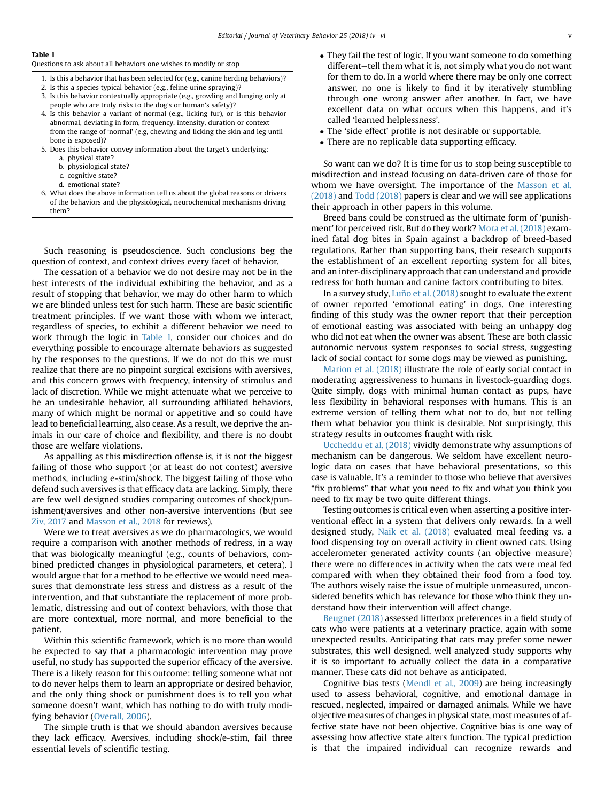## <span id="page-1-0"></span>Table 1

Questions to ask about all behaviors one wishes to modify or stop

- 1. Is this a behavior that has been selected for (e.g., canine herding behaviors)?
- 2. Is this a species typical behavior (e.g., feline urine spraying)?
- 3. Is this behavior contextually appropriate (e.g., growling and lunging only at people who are truly risks to the dog's or human's safety)?
- 4. Is this behavior a variant of normal (e.g., licking fur), or is this behavior abnormal, deviating in form, frequency, intensity, duration or context from the range of 'normal' (e.g, chewing and licking the skin and leg until bone is exposed)?
- 5. Does this behavior convey information about the target's underlying:
	- a. physical state?
	- b. physiological state?
	- c. cognitive state?
	- d. emotional state?
- 6. What does the above information tell us about the global reasons or drivers of the behaviors and the physiological, neurochemical mechanisms driving them?

Such reasoning is pseudoscience. Such conclusions beg the question of context, and context drives every facet of behavior.

The cessation of a behavior we do not desire may not be in the best interests of the individual exhibiting the behavior, and as a result of stopping that behavior, we may do other harm to which we are blinded unless test for such harm. These are basic scientific treatment principles. If we want those with whom we interact, regardless of species, to exhibit a different behavior we need to work through the logic in Table 1, consider our choices and do everything possible to encourage alternate behaviors as suggested by the responses to the questions. If we do not do this we must realize that there are no pinpoint surgical excisions with aversives, and this concern grows with frequency, intensity of stimulus and lack of discretion. While we might attenuate what we perceive to be an undesirable behavior, all surrounding affiliated behaviors, many of which might be normal or appetitive and so could have lead to beneficial learning, also cease. As a result, we deprive the animals in our care of choice and flexibility, and there is no doubt those are welfare violations.

As appalling as this misdirection offense is, it is not the biggest failing of those who support (or at least do not contest) aversive methods, including e-stim/shock. The biggest failing of those who defend such aversives is that efficacy data are lacking. Simply, there are few well designed studies comparing outcomes of shock/punishment/aversives and other non-aversive interventions (but see [Ziv, 2017](#page-2-0) and [Masson et al., 2018](#page-2-0) for reviews).

Were we to treat aversives as we do pharmacologics, we would require a comparison with another methods of redress, in a way that was biologically meaningful (e.g., counts of behaviors, combined predicted changes in physiological parameters, et cetera). I would argue that for a method to be effective we would need measures that demonstrate less stress and distress as a result of the intervention, and that substantiate the replacement of more problematic, distressing and out of context behaviors, with those that are more contextual, more normal, and more beneficial to the patient.

Within this scientific framework, which is no more than would be expected to say that a pharmacologic intervention may prove useful, no study has supported the superior efficacy of the aversive. There is a likely reason for this outcome: telling someone what not to do never helps them to learn an appropriate or desired behavior, and the only thing shock or punishment does is to tell you what someone doesn't want, which has nothing to do with truly modifying behavior ([Overall, 2006](#page-2-0)).

The simple truth is that we should abandon aversives because they lack efficacy. Aversives, including shock/e-stim, fail three essential levels of scientific testing.

- They fail the test of logic. If you want someone to do something different-tell them what it is, not simply what you do not want for them to do. In a world where there may be only one correct answer, no one is likely to find it by iteratively stumbling through one wrong answer after another. In fact, we have excellent data on what occurs when this happens, and it's called 'learned helplessness'.
- The 'side effect' profile is not desirable or supportable.
- There are no replicable data supporting efficacy.

So want can we do? It is time for us to stop being susceptible to misdirection and instead focusing on data-driven care of those for whom we have oversight. The importance of the [Masson et al.](#page-2-0) [\(2018\)](#page-2-0) and [Todd \(2018\)](#page-2-0) papers is clear and we will see applications their approach in other papers in this volume.

Breed bans could be construed as the ultimate form of 'punishment' for perceived risk. But do they work? [Mora et al. \(2018\)](#page-2-0) examined fatal dog bites in Spain against a backdrop of breed-based regulations. Rather than supporting bans, their research supports the establishment of an excellent reporting system for all bites, and an inter-disciplinary approach that can understand and provide redress for both human and canine factors contributing to bites.

In a survey study, [Luño et al. \(2018\)](#page-2-0) sought to evaluate the extent of owner reported 'emotional eating' in dogs. One interesting finding of this study was the owner report that their perception of emotional easting was associated with being an unhappy dog who did not eat when the owner was absent. These are both classic autonomic nervous system responses to social stress, suggesting lack of social contact for some dogs may be viewed as punishing.

[Marion et al. \(2018\)](#page-2-0) illustrate the role of early social contact in moderating aggressiveness to humans in livestock-guarding dogs. Quite simply, dogs with minimal human contact as pups, have less flexibility in behavioral responses with humans. This is an extreme version of telling them what not to do, but not telling them what behavior you think is desirable. Not surprisingly, this strategy results in outcomes fraught with risk.

[Uccheddu et al. \(2018\)](#page-2-0) vividly demonstrate why assumptions of mechanism can be dangerous. We seldom have excellent neurologic data on cases that have behavioral presentations, so this case is valuable. It's a reminder to those who believe that aversives "fix problems" that what you need to fix and what you think you need to fix may be two quite different things.

Testing outcomes is critical even when asserting a positive interventional effect in a system that delivers only rewards. In a well designed study, [Naik et al. \(2018\)](#page-2-0) evaluated meal feeding vs. a food dispensing toy on overall activity in client owned cats. Using accelerometer generated activity counts (an objective measure) there were no differences in activity when the cats were meal fed compared with when they obtained their food from a food toy. The authors wisely raise the issue of multiple unmeasured, unconsidered benefits which has relevance for those who think they understand how their intervention will affect change.

[Beugnet \(2018\)](#page-2-0) assessed litterbox preferences in a field study of cats who were patients at a veterinary practice, again with some unexpected results. Anticipating that cats may prefer some newer substrates, this well designed, well analyzed study supports why it is so important to actually collect the data in a comparative manner. These cats did not behave as anticipated.

Cognitive bias tests [\(Mendl et al., 2009](#page-2-0)) are being increasingly used to assess behavioral, cognitive, and emotional damage in rescued, neglected, impaired or damaged animals. While we have objective measures of changes in physical state, most measures of affective state have not been objective. Cognitive bias is one way of assessing how affective state alters function. The typical prediction is that the impaired individual can recognize rewards and